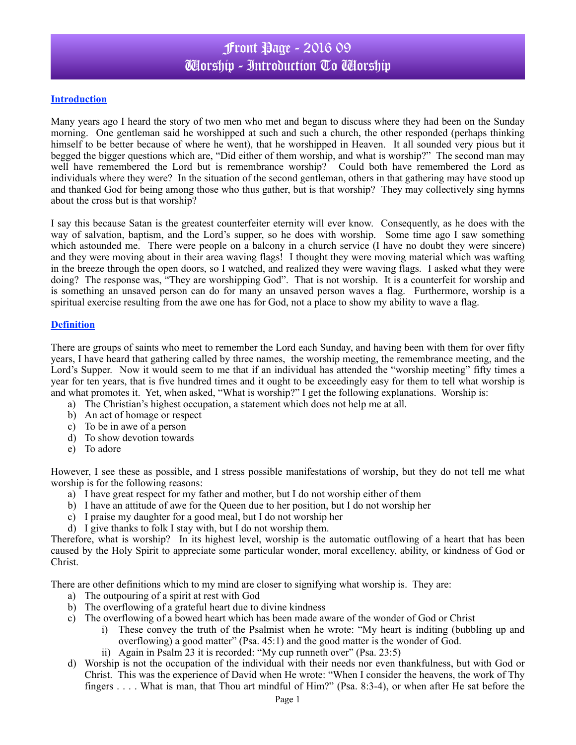#### **Introduction**

Many years ago I heard the story of two men who met and began to discuss where they had been on the Sunday morning. One gentleman said he worshipped at such and such a church, the other responded (perhaps thinking himself to be better because of where he went), that he worshipped in Heaven. It all sounded very pious but it begged the bigger questions which are, "Did either of them worship, and what is worship?" The second man may well have remembered the Lord but is remembrance worship? Could both have remembered the Lord as individuals where they were? In the situation of the second gentleman, others in that gathering may have stood up and thanked God for being among those who thus gather, but is that worship? They may collectively sing hymns about the cross but is that worship?

I say this because Satan is the greatest counterfeiter eternity will ever know. Consequently, as he does with the way of salvation, baptism, and the Lord's supper, so he does with worship. Some time ago I saw something which astounded me. There were people on a balcony in a church service (I have no doubt they were sincere) and they were moving about in their area waving flags! I thought they were moving material which was wafting in the breeze through the open doors, so I watched, and realized they were waving flags. I asked what they were doing? The response was, "They are worshipping God". That is not worship. It is a counterfeit for worship and is something an unsaved person can do for many an unsaved person waves a flag. Furthermore, worship is a spiritual exercise resulting from the awe one has for God, not a place to show my ability to wave a flag.

#### **Definition**

There are groups of saints who meet to remember the Lord each Sunday, and having been with them for over fifty years, I have heard that gathering called by three names, the worship meeting, the remembrance meeting, and the Lord's Supper. Now it would seem to me that if an individual has attended the "worship meeting" fifty times a year for ten years, that is five hundred times and it ought to be exceedingly easy for them to tell what worship is and what promotes it. Yet, when asked, "What is worship?" I get the following explanations. Worship is:

- a) The Christian's highest occupation, a statement which does not help me at all.
- b) An act of homage or respect
- c) To be in awe of a person
- d) To show devotion towards
- e) To adore

However, I see these as possible, and I stress possible manifestations of worship, but they do not tell me what worship is for the following reasons:

- a) I have great respect for my father and mother, but I do not worship either of them
- b) I have an attitude of awe for the Queen due to her position, but I do not worship her
- c) I praise my daughter for a good meal, but I do not worship her
- d) I give thanks to folk I stay with, but I do not worship them.

Therefore, what is worship? In its highest level, worship is the automatic outflowing of a heart that has been caused by the Holy Spirit to appreciate some particular wonder, moral excellency, ability, or kindness of God or Christ.

There are other definitions which to my mind are closer to signifying what worship is. They are:

- a) The outpouring of a spirit at rest with God
- b) The overflowing of a grateful heart due to divine kindness
- c) The overflowing of a bowed heart which has been made aware of the wonder of God or Christ
	- i) These convey the truth of the Psalmist when he wrote: "My heart is inditing (bubbling up and overflowing) a good matter" (Psa. 45:1) and the good matter is the wonder of God.
	- ii) Again in Psalm 23 it is recorded: "My cup runneth over" (Psa. 23:5)
- d) Worship is not the occupation of the individual with their needs nor even thankfulness, but with God or Christ. This was the experience of David when He wrote: "When I consider the heavens, the work of Thy fingers . . . . What is man, that Thou art mindful of Him?" (Psa. 8:3-4), or when after He sat before the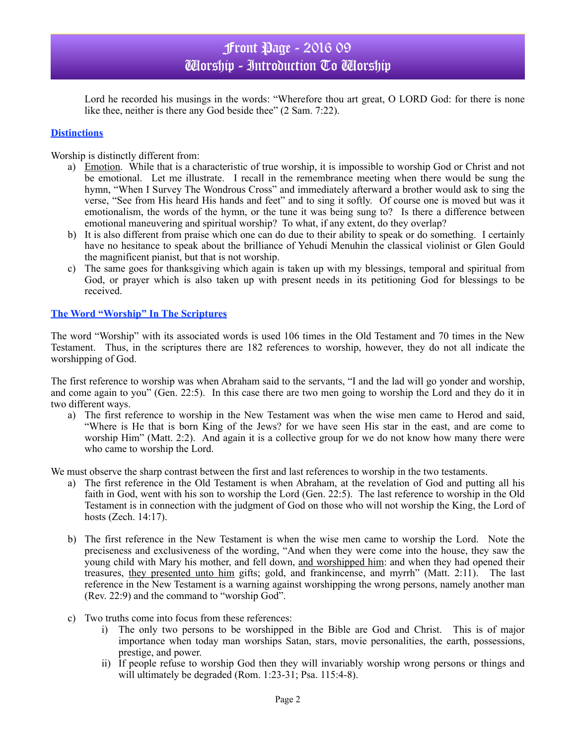Lord he recorded his musings in the words: "Wherefore thou art great, O LORD God: for there is none like thee, neither is there any God beside thee" (2 Sam. 7:22).

### **Distinctions**

Worship is distinctly different from:

- a) Emotion. While that is a characteristic of true worship, it is impossible to worship God or Christ and not be emotional. Let me illustrate. I recall in the remembrance meeting when there would be sung the hymn, "When I Survey The Wondrous Cross" and immediately afterward a brother would ask to sing the verse, "See from His heard His hands and feet" and to sing it softly. Of course one is moved but was it emotionalism, the words of the hymn, or the tune it was being sung to? Is there a difference between emotional maneuvering and spiritual worship? To what, if any extent, do they overlap?
- b) It is also different from praise which one can do due to their ability to speak or do something. I certainly have no hesitance to speak about the brilliance of Yehudi Menuhin the classical violinist or Glen Gould the magnificent pianist, but that is not worship.
- c) The same goes for thanksgiving which again is taken up with my blessings, temporal and spiritual from God, or prayer which is also taken up with present needs in its petitioning God for blessings to be received.

#### **The Word "Worship" In The Scriptures**

The word "Worship" with its associated words is used 106 times in the Old Testament and 70 times in the New Testament. Thus, in the scriptures there are 182 references to worship, however, they do not all indicate the worshipping of God.

The first reference to worship was when Abraham said to the servants, "I and the lad will go yonder and worship, and come again to you" (Gen. 22:5). In this case there are two men going to worship the Lord and they do it in two different ways.

a) The first reference to worship in the New Testament was when the wise men came to Herod and said, "Where is He that is born King of the Jews? for we have seen His star in the east, and are come to worship Him" (Matt. 2:2). And again it is a collective group for we do not know how many there were who came to worship the Lord.

We must observe the sharp contrast between the first and last references to worship in the two testaments.

- a) The first reference in the Old Testament is when Abraham, at the revelation of God and putting all his faith in God, went with his son to worship the Lord (Gen. 22:5). The last reference to worship in the Old Testament is in connection with the judgment of God on those who will not worship the King, the Lord of hosts (Zech. 14:17).
- b) The first reference in the New Testament is when the wise men came to worship the Lord. Note the preciseness and exclusiveness of the wording, "And when they were come into the house, they saw the young child with Mary his mother, and fell down, and worshipped him: and when they had opened their treasures, they presented unto him gifts; gold, and frankincense, and myrrh" (Matt. 2:11). The last reference in the New Testament is a warning against worshipping the wrong persons, namely another man (Rev. 22:9) and the command to "worship God".
- c) Two truths come into focus from these references:
	- i) The only two persons to be worshipped in the Bible are God and Christ. This is of major importance when today man worships Satan, stars, movie personalities, the earth, possessions, prestige, and power.
	- ii) If people refuse to worship God then they will invariably worship wrong persons or things and will ultimately be degraded (Rom. 1:23-31; Psa. 115:4-8).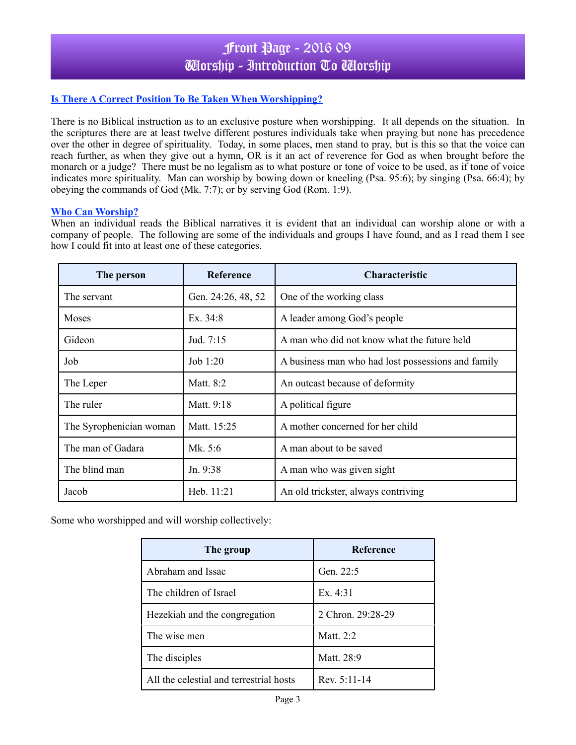## **Is There A Correct Position To Be Taken When Worshipping?**

There is no Biblical instruction as to an exclusive posture when worshipping. It all depends on the situation. In the scriptures there are at least twelve different postures individuals take when praying but none has precedence over the other in degree of spirituality. Today, in some places, men stand to pray, but is this so that the voice can reach further, as when they give out a hymn, OR is it an act of reverence for God as when brought before the monarch or a judge? There must be no legalism as to what posture or tone of voice to be used, as if tone of voice indicates more spirituality. Man can worship by bowing down or kneeling (Psa. 95:6); by singing (Psa. 66:4); by obeying the commands of God (Mk. 7:7); or by serving God (Rom. 1:9).

### **Who Can Worship?**

When an individual reads the Biblical narratives it is evident that an individual can worship alone or with a company of people. The following are some of the individuals and groups I have found, and as I read them I see how I could fit into at least one of these categories.

| The person              | <b>Reference</b>   | <b>Characteristic</b>                              |
|-------------------------|--------------------|----------------------------------------------------|
| The servant             | Gen. 24:26, 48, 52 | One of the working class                           |
| Moses                   | Ex. $34:8$         | A leader among God's people                        |
| Gideon                  | Jud. 7:15          | A man who did not know what the future held        |
| Job                     | Job $1:20$         | A business man who had lost possessions and family |
| The Leper               | Matt. 8:2          | An outcast because of deformity                    |
| The ruler               | Matt. 9:18         | A political figure                                 |
| The Syrophenician woman | Matt. 15:25        | A mother concerned for her child                   |
| The man of Gadara       | Mk. 5:6            | A man about to be saved                            |
| The blind man           | Jn. 9:38           | A man who was given sight                          |
| Jacob                   | Heb. $11:21$       | An old trickster, always contriving                |

Some who worshipped and will worship collectively:

| The group                               | <b>Reference</b>  |
|-----------------------------------------|-------------------|
| Abraham and Issac                       | Gen. 22:5         |
| The children of Israel                  | Ex. 4:31          |
| Hezekiah and the congregation           | 2 Chron. 29:28-29 |
| The wise men                            | Matt. 2:2         |
| The disciples                           | Matt. 28:9        |
| All the celestial and terrestrial hosts | Rev. $5:11-14$    |